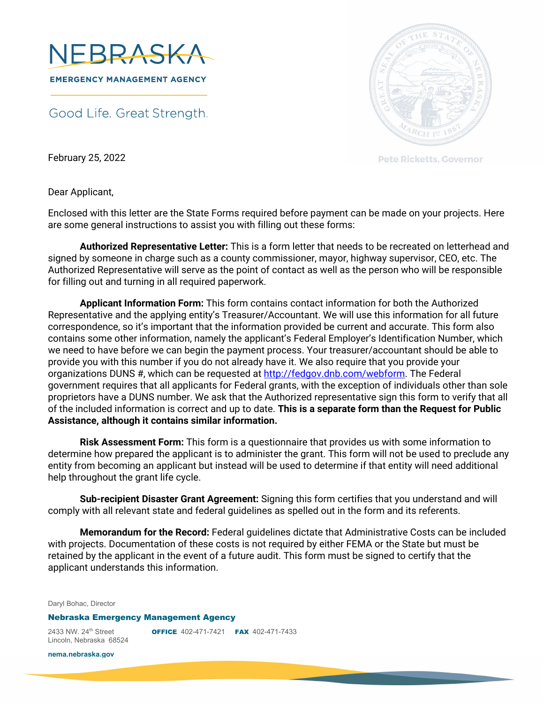

Good Life. Great Strength.



**Pete Ricketts, Governor** 

February 25, 2022

Dear Applicant,

Enclosed with this letter are the State Forms required before payment can be made on your projects. Here are some general instructions to assist you with filling out these forms:

 **Authorized Representative Letter:** This is a form letter that needs to be recreated on letterhead and signed by someone in charge such as a county commissioner, mayor, highway supervisor, CEO, etc. The Authorized Representative will serve as the point of contact as well as the person who will be responsible for filling out and turning in all required paperwork.

**Applicant Information Form:** This form contains contact information for both the Authorized Representative and the applying entity's Treasurer/Accountant. We will use this information for all future correspondence, so it's important that the information provided be current and accurate. This form also contains some other information, namely the applicant's Federal Employer's Identification Number, which we need to have before we can begin the payment process. Your treasurer/accountant should be able to provide you with this number if you do not already have it. We also require that you provide your organizations DUNS #, which can be requested at http://fedgov.dnb.com/webform. The Federal government requires that all applicants for Federal grants, with the exception of individuals other than sole proprietors have a DUNS number. We ask that the Authorized representative sign this form to verify that all of the included information is correct and up to date. **This is a separate form than the Request for Public Assistance, although it contains similar information.** 

**Risk Assessment Form:** This form is a questionnaire that provides us with some information to determine how prepared the applicant is to administer the grant. This form will not be used to preclude any entity from becoming an applicant but instead will be used to determine if that entity will need additional help throughout the grant life cycle.

**Sub-recipient Disaster Grant Agreement:** Signing this form certifies that you understand and will comply with all relevant state and federal guidelines as spelled out in the form and its referents.

**Memorandum for the Record:** Federal guidelines dictate that Administrative Costs can be included with projects. Documentation of these costs is not required by either FEMA or the State but must be retained by the applicant in the event of a future audit. This form must be signed to certify that the applicant understands this information.

Daryl Bohac, Director

## Nebraska Emergency Management Agency

Lincoln, Nebraska 68524

2433 NW. 24<sup>th</sup> Street **OFFICE** 402-471-7421 **FAX** 402-471-7433

**nema.nebraska.gov**